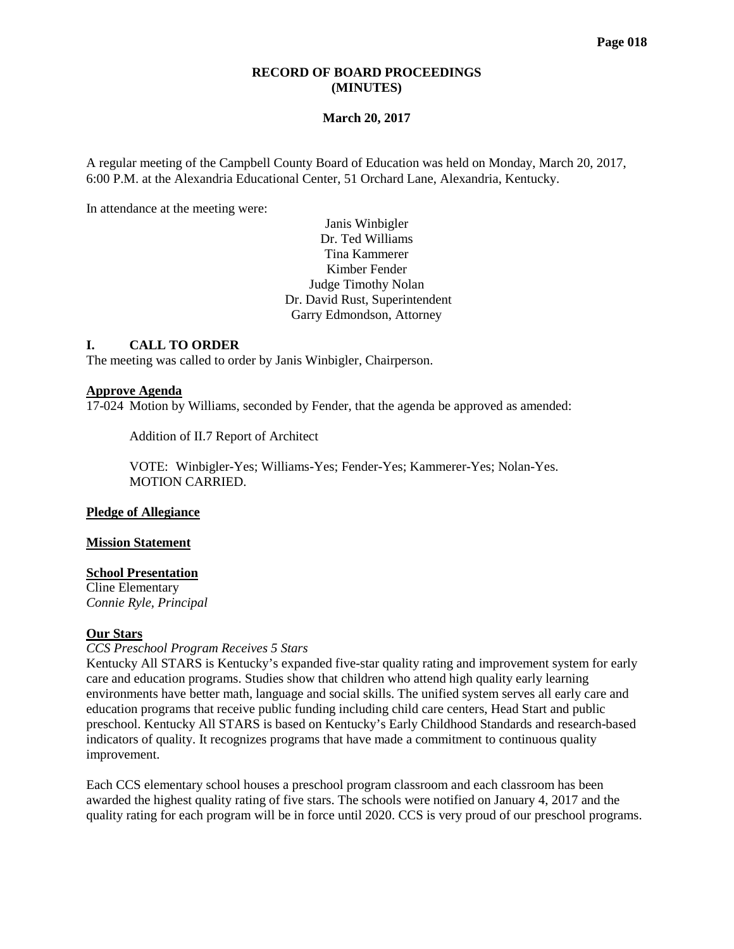### **RECORD OF BOARD PROCEEDINGS (MINUTES)**

### **March 20, 2017**

A regular meeting of the Campbell County Board of Education was held on Monday, March 20, 2017, 6:00 P.M. at the Alexandria Educational Center, 51 Orchard Lane, Alexandria, Kentucky.

In attendance at the meeting were:

Janis Winbigler Dr. Ted Williams Tina Kammerer Kimber Fender Judge Timothy Nolan Dr. David Rust, Superintendent Garry Edmondson, Attorney

### **I. CALL TO ORDER**

The meeting was called to order by Janis Winbigler, Chairperson.

#### **Approve Agenda**

17-024 Motion by Williams, seconded by Fender, that the agenda be approved as amended:

Addition of II.7 Report of Architect

VOTE: Winbigler-Yes; Williams-Yes; Fender-Yes; Kammerer-Yes; Nolan-Yes. MOTION CARRIED.

#### **Pledge of Allegiance**

**Mission Statement**

#### **School Presentation**

Cline Elementary *Connie Ryle, Principal*

## **Our Stars**

#### *[CCS Preschool Program Receives 5 Stars](http://www.campbellcountyschools.org/News/54475)*

Kentucky All STARS is Kentucky's expanded five-star quality rating and improvement system for early care and education programs. Studies show that children who attend high quality early learning environments have better math, language and social skills. The unified system serves all early care and education programs that receive public funding including child care centers, Head Start and public preschool. Kentucky All STARS is based on Kentucky's Early Childhood Standards and research-based indicators of quality. It recognizes programs that have made a commitment to continuous quality improvement.

Each CCS elementary school houses a preschool program classroom and each classroom has been awarded the highest quality rating of five stars. The schools were notified on January 4, 2017 and the quality rating for each program will be in force until 2020. CCS is very proud of our preschool programs.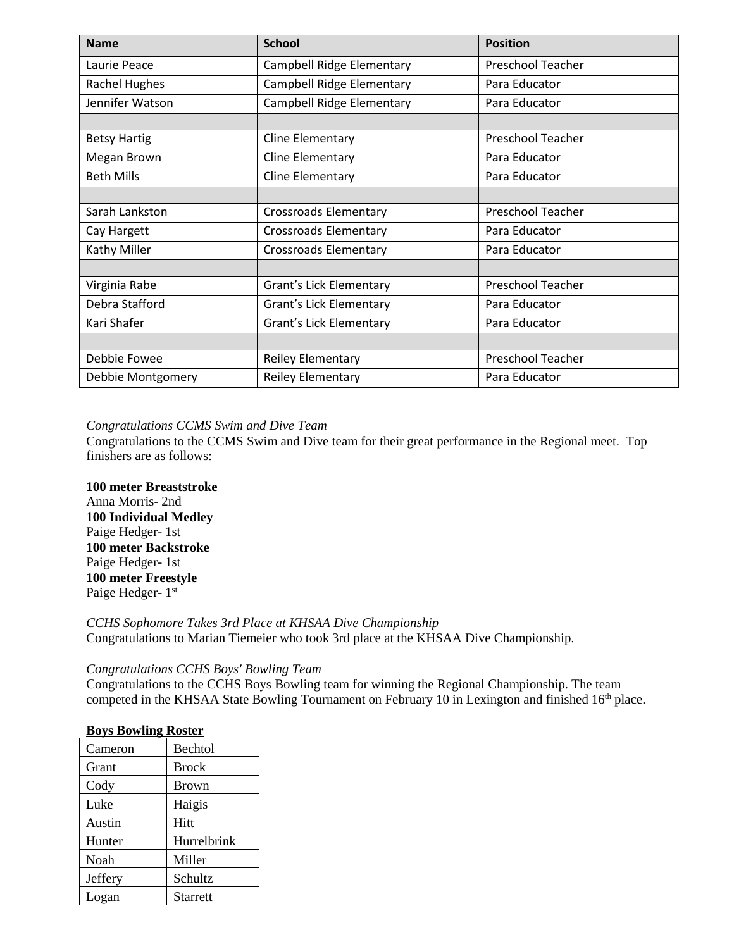| <b>Name</b>                                   | <b>School</b>                    | <b>Position</b>          |  |
|-----------------------------------------------|----------------------------------|--------------------------|--|
| Laurie Peace                                  | Campbell Ridge Elementary        | <b>Preschool Teacher</b> |  |
| <b>Rachel Hughes</b>                          | <b>Campbell Ridge Elementary</b> | Para Educator            |  |
| Jennifer Watson                               | <b>Campbell Ridge Elementary</b> | Para Educator            |  |
|                                               |                                  |                          |  |
| <b>Betsy Hartig</b>                           | Cline Elementary                 | Preschool Teacher        |  |
| Megan Brown                                   | Cline Elementary                 | Para Educator            |  |
| <b>Beth Mills</b>                             | Cline Elementary                 | Para Educator            |  |
|                                               |                                  |                          |  |
| Sarah Lankston                                | <b>Crossroads Elementary</b>     | <b>Preschool Teacher</b> |  |
| Cay Hargett                                   | <b>Crossroads Elementary</b>     | Para Educator            |  |
| Kathy Miller                                  | <b>Crossroads Elementary</b>     | Para Educator            |  |
|                                               |                                  |                          |  |
| Virginia Rabe                                 | Grant's Lick Elementary          | Preschool Teacher        |  |
| Debra Stafford                                | Grant's Lick Elementary          | Para Educator            |  |
| Kari Shafer                                   | Grant's Lick Elementary          | Para Educator            |  |
|                                               |                                  |                          |  |
| Debbie Fowee                                  | <b>Reiley Elementary</b>         | <b>Preschool Teacher</b> |  |
| <b>Reiley Elementary</b><br>Debbie Montgomery |                                  | Para Educator            |  |

## *[Congratulations CCMS Swim and Dive Team](http://www.campbellcountyschools.org/News/54464)*

Congratulations to the CCMS Swim and Dive team for their great performance in the Regional meet. Top finishers are as follows:

## **100 meter Breaststroke**

Anna Morris- 2nd **100 Individual Medley** Paige Hedger- 1st **100 meter Backstroke** Paige Hedger- 1st **100 meter Freestyle** Paige Hedger- 1<sup>st</sup>

### *CCHS Sophomore Takes 3rd Place at KHSAA Dive Championship* Congratulations to Marian Tiemeier who took 3rd place at the KHSAA Dive Championship.

## *[Congratulations CCHS Boys' Bowling Team](http://www.campbellcountyschools.org/News/54477)*

Congratulations to the CCHS Boys Bowling team for winning the Regional Championship. The team competed in the KHSAA State Bowling Tournament on February 10 in Lexington and finished 16<sup>th</sup> place.

## **Boys Bowling Roster**

| Cameron | <b>Bechtol</b> |
|---------|----------------|
| Grant   | <b>Brock</b>   |
| Cody    | <b>Brown</b>   |
| Luke    | Haigis         |
| Austin  | Hitt           |
| Hunter  | Hurrelbrink    |
| Noah    | Miller         |
| Jeffery | Schultz        |
| Logan   | Starrett       |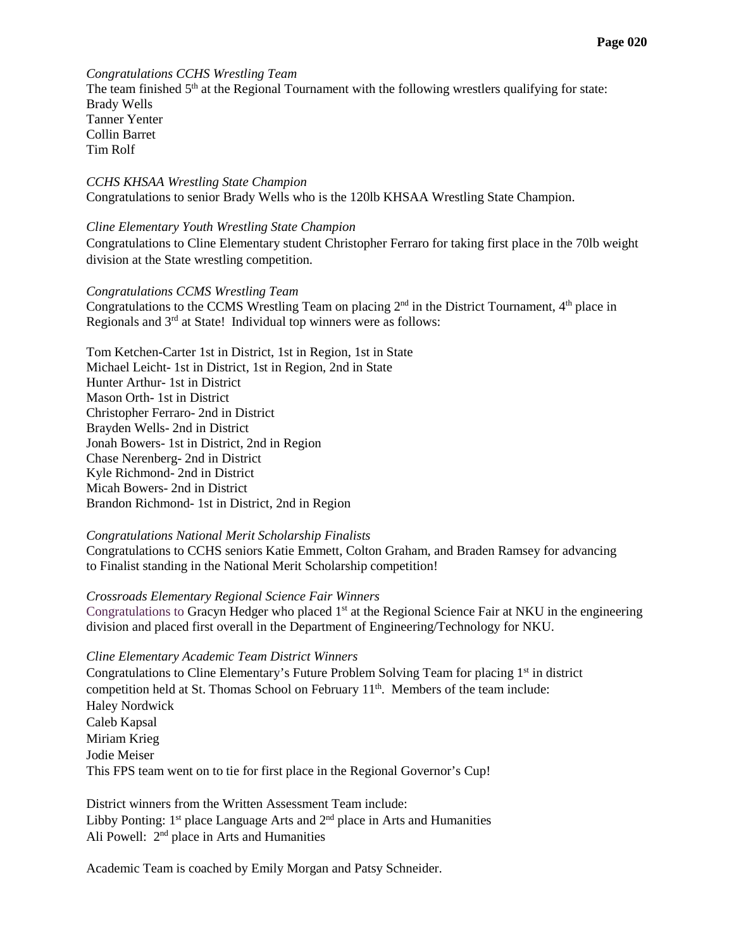## *Congratulations CCHS Wrestling Team*

The team finished  $5<sup>th</sup>$  at the Regional Tournament with the following wrestlers qualifying for state: Brady Wells Tanner Yenter Collin Barret Tim Rolf

*CCHS KHSAA Wrestling State Champion* Congratulations to senior Brady Wells who is the 120lb KHSAA Wrestling State Champion.

### *Cline Elementary Youth Wrestling State Champion*

Congratulations to Cline Elementary student Christopher Ferraro for taking first place in the 70lb weight division at the State wrestling competition.

### *Congratulations CCMS Wrestling Team*

Congratulations to the CCMS Wrestling Team on placing  $2<sup>nd</sup>$  in the District Tournament,  $4<sup>th</sup>$  place in Regionals and 3<sup>rd</sup> at State! Individual top winners were as follows:

Tom Ketchen-Carter 1st in District, 1st in Region, 1st in State Michael Leicht- 1st in District, 1st in Region, 2nd in State Hunter Arthur- 1st in District Mason Orth- 1st in District Christopher Ferraro- 2nd in District Brayden Wells- 2nd in District Jonah Bowers- 1st in District, 2nd in Region Chase Nerenberg- 2nd in District Kyle Richmond- 2nd in District Micah Bowers- 2nd in District Brandon Richmond- 1st in District, 2nd in Region

## *Congratulations National Merit Scholarship Finalists*

Congratulations to CCHS seniors Katie Emmett, Colton Graham, and Braden Ramsey for advancing to Finalist standing in the National Merit Scholarship competition!

### *[Crossroads Elementary Regional Science Fair Winners](http://www.campbellcountyschools.org/News/54510)*

Congratulations to Gracyn Hedger who placed  $1<sup>st</sup>$  at the Regional Science Fair at NKU in the engineering division and placed first overall in the Department of Engineering/Technology for NKU.

### *Cline Elementary Academic Team District Winners*

Congratulations to Cline Elementary's Future Problem Solving Team for placing 1<sup>st</sup> in district competition held at St. Thomas School on February 11th. Members of the team include: Haley Nordwick Caleb Kapsal Miriam Krieg Jodie Meiser This FPS team went on to tie for first place in the Regional Governor's Cup!

District winners from the Written Assessment Team include: Libby Ponting:  $1<sup>st</sup>$  place Language Arts and  $2<sup>nd</sup>$  place in Arts and Humanities Ali Powell: 2<sup>nd</sup> place in Arts and Humanities

Academic Team is coached by Emily Morgan and Patsy Schneider.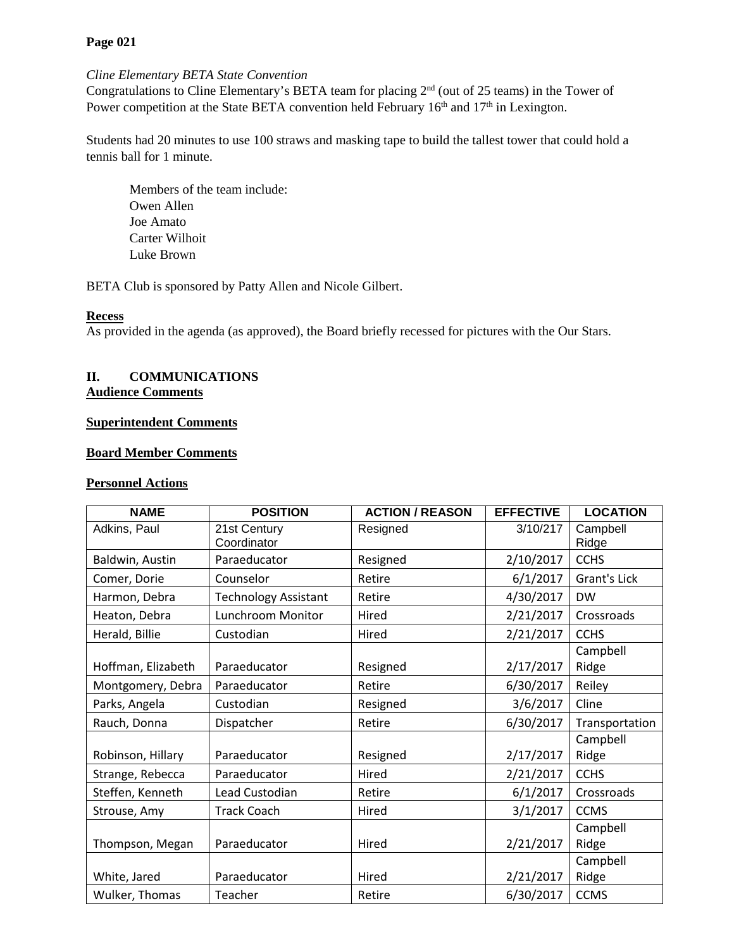# **Page 021**

## *Cline Elementary BETA State Convention*

Congratulations to Cline Elementary's BETA team for placing 2nd (out of 25 teams) in the Tower of Power competition at the State BETA convention held February  $16<sup>th</sup>$  and  $17<sup>th</sup>$  in Lexington.

Students had 20 minutes to use 100 straws and masking tape to build the tallest tower that could hold a tennis ball for 1 minute.

Members of the team include: Owen Allen Joe Amato Carter Wilhoit Luke Brown

BETA Club is sponsored by Patty Allen and Nicole Gilbert.

## **Recess**

As provided in the agenda (as approved), the Board briefly recessed for pictures with the Our Stars.

## **II. COMMUNICATIONS Audience Comments**

# **Superintendent Comments**

## **Board Member Comments**

## **Personnel Actions**

| <b>NAME</b>        | <b>POSITION</b>             | <b>ACTION / REASON</b> | <b>EFFECTIVE</b> | <b>LOCATION</b>   |
|--------------------|-----------------------------|------------------------|------------------|-------------------|
| Adkins, Paul       | 21st Century<br>Coordinator | Resigned               | 3/10/217         | Campbell<br>Ridge |
| Baldwin, Austin    | Paraeducator                | Resigned               | 2/10/2017        | <b>CCHS</b>       |
| Comer, Dorie       | Counselor                   | Retire                 | 6/1/2017         | Grant's Lick      |
| Harmon, Debra      | <b>Technology Assistant</b> | Retire                 | 4/30/2017        | <b>DW</b>         |
| Heaton, Debra      | Lunchroom Monitor           | Hired                  | 2/21/2017        | Crossroads        |
| Herald, Billie     | Custodian                   | Hired                  | 2/21/2017        | <b>CCHS</b>       |
| Hoffman, Elizabeth | Paraeducator                | Resigned               | 2/17/2017        | Campbell<br>Ridge |
| Montgomery, Debra  | Paraeducator                | Retire                 | 6/30/2017        | Reiley            |
| Parks, Angela      | Custodian                   | Resigned               | 3/6/2017         | Cline             |
| Rauch, Donna       | Dispatcher                  | Retire                 | 6/30/2017        | Transportation    |
| Robinson, Hillary  | Paraeducator                | Resigned               | 2/17/2017        | Campbell<br>Ridge |
| Strange, Rebecca   | Paraeducator                | Hired                  | 2/21/2017        | <b>CCHS</b>       |
| Steffen, Kenneth   | Lead Custodian              | Retire                 | 6/1/2017         | Crossroads        |
| Strouse, Amy       | <b>Track Coach</b>          | Hired                  | 3/1/2017         | <b>CCMS</b>       |
| Thompson, Megan    | Paraeducator                | Hired                  | 2/21/2017        | Campbell<br>Ridge |
|                    |                             |                        |                  | Campbell          |
| White, Jared       | Paraeducator                | Hired                  | 2/21/2017        | Ridge             |
| Wulker, Thomas     | Teacher                     | Retire                 | 6/30/2017        | <b>CCMS</b>       |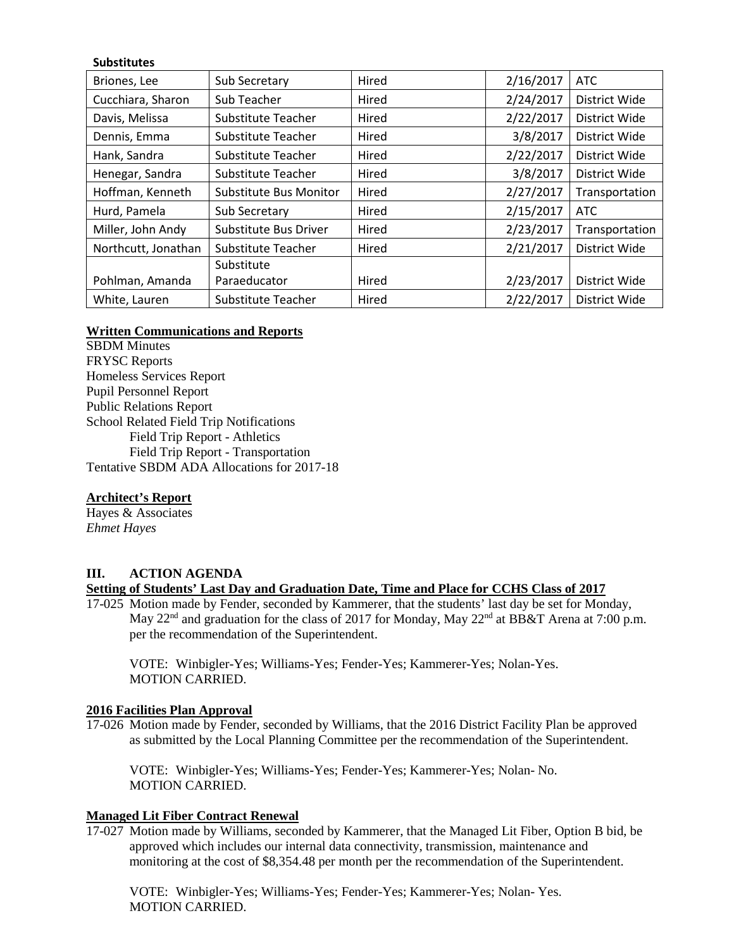## **Substitutes**

| Briones, Lee        | Sub Secretary                 | Hired | 2/16/2017 | <b>ATC</b>     |
|---------------------|-------------------------------|-------|-----------|----------------|
| Cucchiara, Sharon   | Sub Teacher                   | Hired | 2/24/2017 | District Wide  |
| Davis, Melissa      | <b>Substitute Teacher</b>     | Hired | 2/22/2017 | District Wide  |
| Dennis, Emma        | Substitute Teacher            | Hired | 3/8/2017  | District Wide  |
| Hank, Sandra        | <b>Substitute Teacher</b>     | Hired | 2/22/2017 | District Wide  |
| Henegar, Sandra     | Substitute Teacher            | Hired | 3/8/2017  | District Wide  |
| Hoffman, Kenneth    | <b>Substitute Bus Monitor</b> | Hired | 2/27/2017 | Transportation |
| Hurd, Pamela        | Sub Secretary                 | Hired | 2/15/2017 | <b>ATC</b>     |
| Miller, John Andy   | Substitute Bus Driver         | Hired | 2/23/2017 | Transportation |
| Northcutt, Jonathan | Substitute Teacher            | Hired | 2/21/2017 | District Wide  |
|                     | Substitute                    |       |           |                |
| Pohlman, Amanda     | Paraeducator                  | Hired | 2/23/2017 | District Wide  |
| White, Lauren       | Substitute Teacher            | Hired | 2/22/2017 | District Wide  |

## **Written Communications and Reports**

SBDM Minutes FRYSC Reports Homeless Services Report Pupil Personnel Report Public Relations Report School Related Field Trip Notifications Field Trip Report - Athletics Field Trip Report - Transportation Tentative SBDM ADA Allocations for 2017-18

## **Architect's Report**

Hayes & Associates *Ehmet Hayes*

### **III. ACTION AGENDA**

### **Setting of Students' Last Day and Graduation Date, Time and Place for CCHS Class of 2017**

17-025 Motion made by Fender, seconded by Kammerer, that the students' last day be set for Monday, May 22<sup>nd</sup> and graduation for the class of 2017 for Monday, May 22<sup>nd</sup> at BB&T Arena at 7:00 p.m. per the recommendation of the Superintendent.

VOTE: Winbigler-Yes; Williams-Yes; Fender-Yes; Kammerer-Yes; Nolan-Yes. MOTION CARRIED.

### **2016 Facilities Plan Approval**

17-026 Motion made by Fender, seconded by Williams, that the 2016 District Facility Plan be approved as submitted by the Local Planning Committee per the recommendation of the Superintendent.

VOTE: Winbigler-Yes; Williams-Yes; Fender-Yes; Kammerer-Yes; Nolan- No. MOTION CARRIED.

## **Managed Lit Fiber Contract Renewal**

17-027 Motion made by Williams, seconded by Kammerer, that the Managed Lit Fiber, Option B bid, be approved which includes our internal data connectivity, transmission, maintenance and monitoring at the cost of \$8,354.48 per month per the recommendation of the Superintendent.

VOTE: Winbigler-Yes; Williams-Yes; Fender-Yes; Kammerer-Yes; Nolan- Yes. MOTION CARRIED.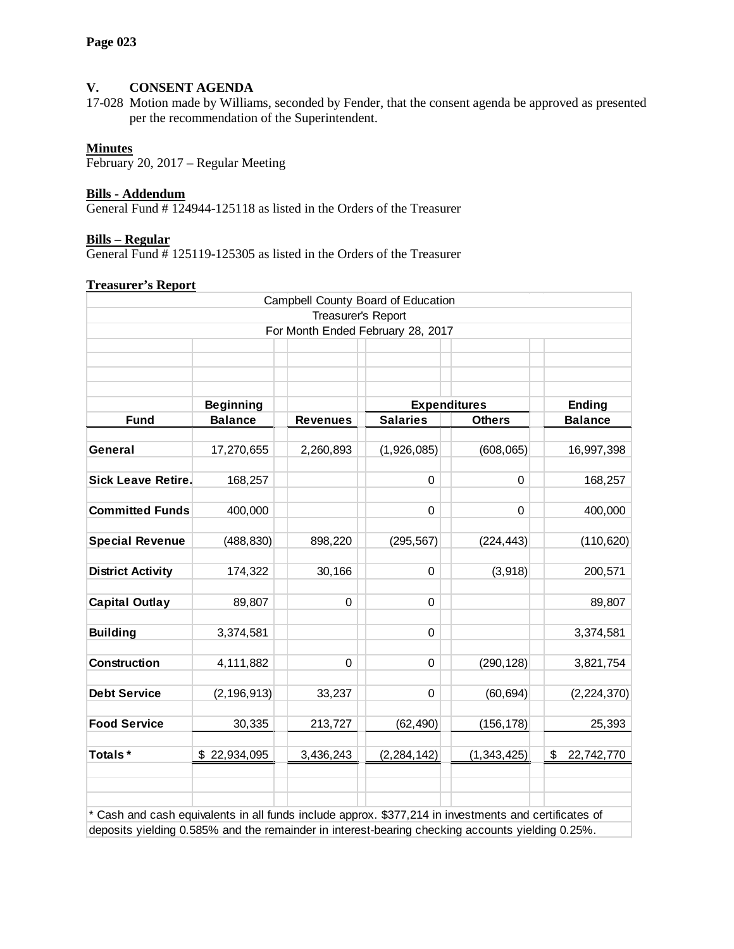# **V. CONSENT AGENDA**

17-028 Motion made by Williams, seconded by Fender, that the consent agenda be approved as presented per the recommendation of the Superintendent.

# **Minutes**

February 20, 2017 – Regular Meeting

## **Bills - Addendum**

General Fund # 124944-125118 as listed in the Orders of the Treasurer

### **Bills – Regular**

General Fund # 125119-125305 as listed in the Orders of the Treasurer

## **Treasurer's Report**

|                                                                                                                                                                                                           |                  |                    | Campbell County Board of Education |               |                  |
|-----------------------------------------------------------------------------------------------------------------------------------------------------------------------------------------------------------|------------------|--------------------|------------------------------------|---------------|------------------|
|                                                                                                                                                                                                           |                  | Treasurer's Report |                                    |               |                  |
|                                                                                                                                                                                                           |                  |                    | For Month Ended February 28, 2017  |               |                  |
|                                                                                                                                                                                                           |                  |                    |                                    |               |                  |
|                                                                                                                                                                                                           |                  |                    |                                    |               |                  |
|                                                                                                                                                                                                           |                  |                    |                                    |               |                  |
|                                                                                                                                                                                                           | <b>Beginning</b> |                    | <b>Expenditures</b>                |               | <b>Ending</b>    |
| <b>Fund</b>                                                                                                                                                                                               | <b>Balance</b>   | <b>Revenues</b>    | <b>Salaries</b>                    | <b>Others</b> | <b>Balance</b>   |
| General                                                                                                                                                                                                   | 17,270,655       | 2,260,893          | (1,926,085)                        | (608, 065)    | 16,997,398       |
| <b>Sick Leave Retire.</b>                                                                                                                                                                                 | 168,257          |                    | 0                                  | 0             | 168,257          |
| <b>Committed Funds</b>                                                                                                                                                                                    | 400,000          |                    | 0                                  | 0             | 400,000          |
| <b>Special Revenue</b>                                                                                                                                                                                    | (488, 830)       | 898,220            | (295, 567)                         | (224, 443)    | (110, 620)       |
| <b>District Activity</b>                                                                                                                                                                                  | 174,322          | 30,166             | $\mathbf 0$                        | (3,918)       | 200,571          |
|                                                                                                                                                                                                           |                  |                    |                                    |               |                  |
| <b>Capital Outlay</b>                                                                                                                                                                                     | 89,807           | 0                  | 0                                  |               | 89,807           |
| <b>Building</b>                                                                                                                                                                                           | 3,374,581        |                    | $\mathbf 0$                        |               | 3,374,581        |
| <b>Construction</b>                                                                                                                                                                                       | 4,111,882        | 0                  | 0                                  | (290, 128)    | 3,821,754        |
| <b>Debt Service</b>                                                                                                                                                                                       | (2, 196, 913)    | 33,237             | 0                                  | (60, 694)     | (2, 224, 370)    |
| <b>Food Service</b>                                                                                                                                                                                       | 30,335           | 213,727            | (62, 490)                          | (156, 178)    | 25,393           |
| Totals*                                                                                                                                                                                                   | \$22,934,095     | 3,436,243          | (2, 284, 142)                      | (1, 343, 425) | \$<br>22,742,770 |
|                                                                                                                                                                                                           |                  |                    |                                    |               |                  |
| * Cash and cash equivalents in all funds include approx. \$377,214 in investments and certificates of<br>deposits yielding 0.585% and the remainder in interest-bearing checking accounts yielding 0.25%. |                  |                    |                                    |               |                  |

deposits yielding 0.585% and the remainder in interest-bearing checking accounts yielding 0.25%.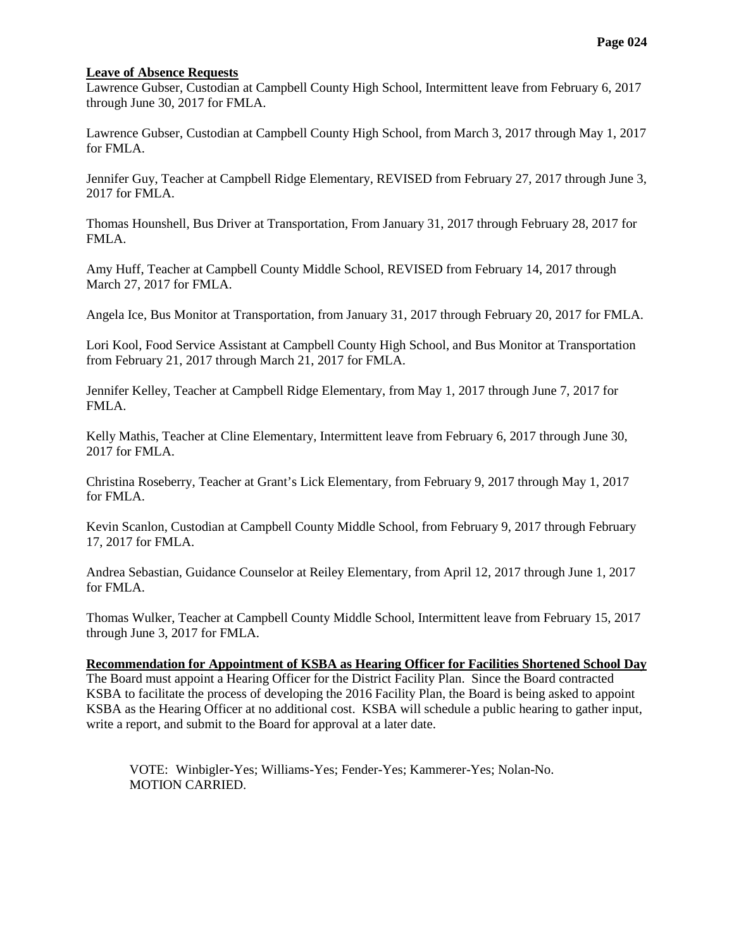## **Leave of Absence Requests**

Lawrence Gubser, Custodian at Campbell County High School, Intermittent leave from February 6, 2017 through June 30, 2017 for FMLA.

Lawrence Gubser, Custodian at Campbell County High School, from March 3, 2017 through May 1, 2017 for FMLA.

Jennifer Guy, Teacher at Campbell Ridge Elementary, REVISED from February 27, 2017 through June 3, 2017 for FMLA.

Thomas Hounshell, Bus Driver at Transportation, From January 31, 2017 through February 28, 2017 for FMLA.

Amy Huff, Teacher at Campbell County Middle School, REVISED from February 14, 2017 through March 27, 2017 for FMLA.

Angela Ice, Bus Monitor at Transportation, from January 31, 2017 through February 20, 2017 for FMLA.

Lori Kool, Food Service Assistant at Campbell County High School, and Bus Monitor at Transportation from February 21, 2017 through March 21, 2017 for FMLA.

Jennifer Kelley, Teacher at Campbell Ridge Elementary, from May 1, 2017 through June 7, 2017 for FMLA.

Kelly Mathis, Teacher at Cline Elementary, Intermittent leave from February 6, 2017 through June 30, 2017 for FMLA.

Christina Roseberry, Teacher at Grant's Lick Elementary, from February 9, 2017 through May 1, 2017 for FMLA.

Kevin Scanlon, Custodian at Campbell County Middle School, from February 9, 2017 through February 17, 2017 for FMLA.

Andrea Sebastian, Guidance Counselor at Reiley Elementary, from April 12, 2017 through June 1, 2017 for FMLA.

Thomas Wulker, Teacher at Campbell County Middle School, Intermittent leave from February 15, 2017 through June 3, 2017 for FMLA.

### **Recommendation for Appointment of KSBA as Hearing Officer for Facilities Shortened School Day**

The Board must appoint a Hearing Officer for the District Facility Plan. Since the Board contracted KSBA to facilitate the process of developing the 2016 Facility Plan, the Board is being asked to appoint KSBA as the Hearing Officer at no additional cost. KSBA will schedule a public hearing to gather input, write a report, and submit to the Board for approval at a later date.

VOTE: Winbigler-Yes; Williams-Yes; Fender-Yes; Kammerer-Yes; Nolan-No. MOTION CARRIED.